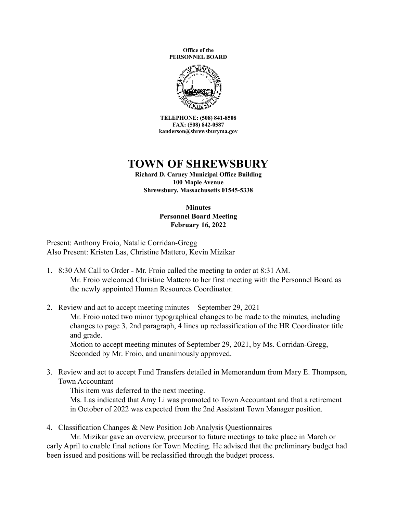**Office of the PERSONNEL BOARD**



**TELEPHONE: (508) 841-8508 FAX: (508) 842-0587 kanderson@shrewsburyma.gov**

## **TOWN OF SHREWSBURY**

**Richard D. Carney Municipal Office Building 100 Maple Avenue Shrewsbury, Massachusetts 01545-5338**

## **Minutes Personnel Board Meeting February 16, 2022**

Present: Anthony Froio, Natalie Corridan-Gregg Also Present: Kristen Las, Christine Mattero, Kevin Mizikar

- 1. 8:30 AM Call to Order Mr. Froio called the meeting to order at 8:31 AM. Mr. Froio welcomed Christine Mattero to her first meeting with the Personnel Board as the newly appointed Human Resources Coordinator.
- 2. Review and act to accept meeting minutes September 29, 2021 Mr. Froio noted two minor typographical changes to be made to the minutes, including changes to page 3, 2nd paragraph, 4 lines up reclassification of the HR Coordinator title and grade. Motion to accept meeting minutes of September 29, 2021, by Ms. Corridan-Gregg, Seconded by Mr. Froio, and unanimously approved.
- 3. Review and act to accept Fund Transfers detailed in Memorandum from Mary E. Thompson, Town Accountant

This item was deferred to the next meeting.

Ms. Las indicated that Amy Li was promoted to Town Accountant and that a retirement in October of 2022 was expected from the 2nd Assistant Town Manager position.

4. Classification Changes & New Position Job Analysis Questionnaires

Mr. Mizikar gave an overview, precursor to future meetings to take place in March or early April to enable final actions for Town Meeting. He advised that the preliminary budget had been issued and positions will be reclassified through the budget process.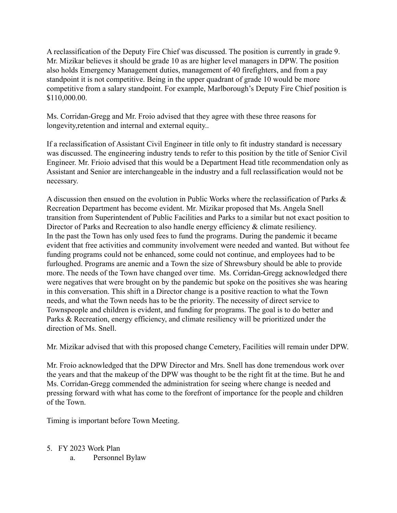A reclassification of the Deputy Fire Chief was discussed. The position is currently in grade 9. Mr. Mizikar believes it should be grade 10 as are higher level managers in DPW. The position also holds Emergency Management duties, management of 40 firefighters, and from a pay standpoint it is not competitive. Being in the upper quadrant of grade 10 would be more competitive from a salary standpoint. For example, Marlborough's Deputy Fire Chief position is \$110,000.00.

Ms. Corridan-Gregg and Mr. Froio advised that they agree with these three reasons for longevity,retention and internal and external equity..

If a reclassification of Assistant Civil Engineer in title only to fit industry standard is necessary was discussed. The engineering industry tends to refer to this position by the title of Senior Civil Engineer. Mr. Frioio advised that this would be a Department Head title recommendation only as Assistant and Senior are interchangeable in the industry and a full reclassification would not be necessary.

A discussion then ensued on the evolution in Public Works where the reclassification of Parks & Recreation Department has become evident. Mr. Mizikar proposed that Ms. Angela Snell transition from Superintendent of Public Facilities and Parks to a similar but not exact position to Director of Parks and Recreation to also handle energy efficiency & climate resiliency. In the past the Town has only used fees to fund the programs. During the pandemic it became evident that free activities and community involvement were needed and wanted. But without fee funding programs could not be enhanced, some could not continue, and employees had to be furloughed. Programs are anemic and a Town the size of Shrewsbury should be able to provide more. The needs of the Town have changed over time. Ms. Corridan-Gregg acknowledged there were negatives that were brought on by the pandemic but spoke on the positives she was hearing in this conversation. This shift in a Director change is a positive reaction to what the Town needs, and what the Town needs has to be the priority. The necessity of direct service to Townspeople and children is evident, and funding for programs. The goal is to do better and Parks & Recreation, energy efficiency, and climate resiliency will be prioritized under the direction of Ms. Snell.

Mr. Mizikar advised that with this proposed change Cemetery, Facilities will remain under DPW.

Mr. Froio acknowledged that the DPW Director and Mrs. Snell has done tremendous work over the years and that the makeup of the DPW was thought to be the right fit at the time. But he and Ms. Corridan-Gregg commended the administration for seeing where change is needed and pressing forward with what has come to the forefront of importance for the people and children of the Town.

Timing is important before Town Meeting.

- 5. FY 2023 Work Plan
	- a. Personnel Bylaw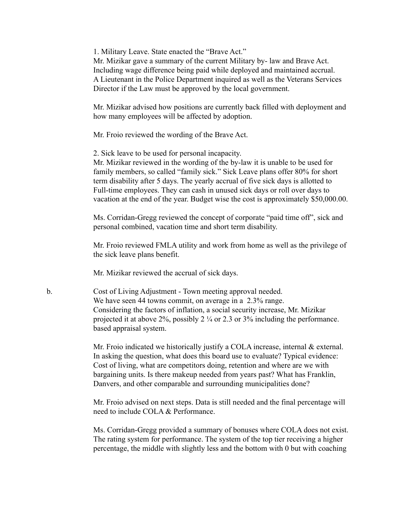1. Military Leave. State enacted the "Brave Act."

Mr. Mizikar gave a summary of the current Military by- law and Brave Act. Including wage difference being paid while deployed and maintained accrual. A Lieutenant in the Police Department inquired as well as the Veterans Services Director if the Law must be approved by the local government.

Mr. Mizikar advised how positions are currently back filled with deployment and how many employees will be affected by adoption.

Mr. Froio reviewed the wording of the Brave Act.

2. Sick leave to be used for personal incapacity.

Mr. Mizikar reviewed in the wording of the by-law it is unable to be used for family members, so called "family sick." Sick Leave plans offer 80% for short term disability after 5 days. The yearly accrual of five sick days is allotted to Full-time employees. They can cash in unused sick days or roll over days to vacation at the end of the year. Budget wise the cost is approximately \$50,000.00.

Ms. Corridan-Gregg reviewed the concept of corporate "paid time off", sick and personal combined, vacation time and short term disability.

Mr. Froio reviewed FMLA utility and work from home as well as the privilege of the sick leave plans benefit.

Mr. Mizikar reviewed the accrual of sick days.

b. Cost of Living Adjustment - Town meeting approval needed. We have seen 44 towns commit, on average in a 2.3% range. Considering the factors of inflation, a social security increase, Mr. Mizikar projected it at above 2%, possibly 2 ¼ or 2.3 or 3% including the performance. based appraisal system.

> Mr. Froio indicated we historically justify a COLA increase, internal  $\&$  external. In asking the question, what does this board use to evaluate? Typical evidence: Cost of living, what are competitors doing, retention and where are we with bargaining units. Is there makeup needed from years past? What has Franklin, Danvers, and other comparable and surrounding municipalities done?

> Mr. Froio advised on next steps. Data is still needed and the final percentage will need to include COLA & Performance.

Ms. Corridan-Gregg provided a summary of bonuses where COLA does not exist. The rating system for performance. The system of the top tier receiving a higher percentage, the middle with slightly less and the bottom with 0 but with coaching